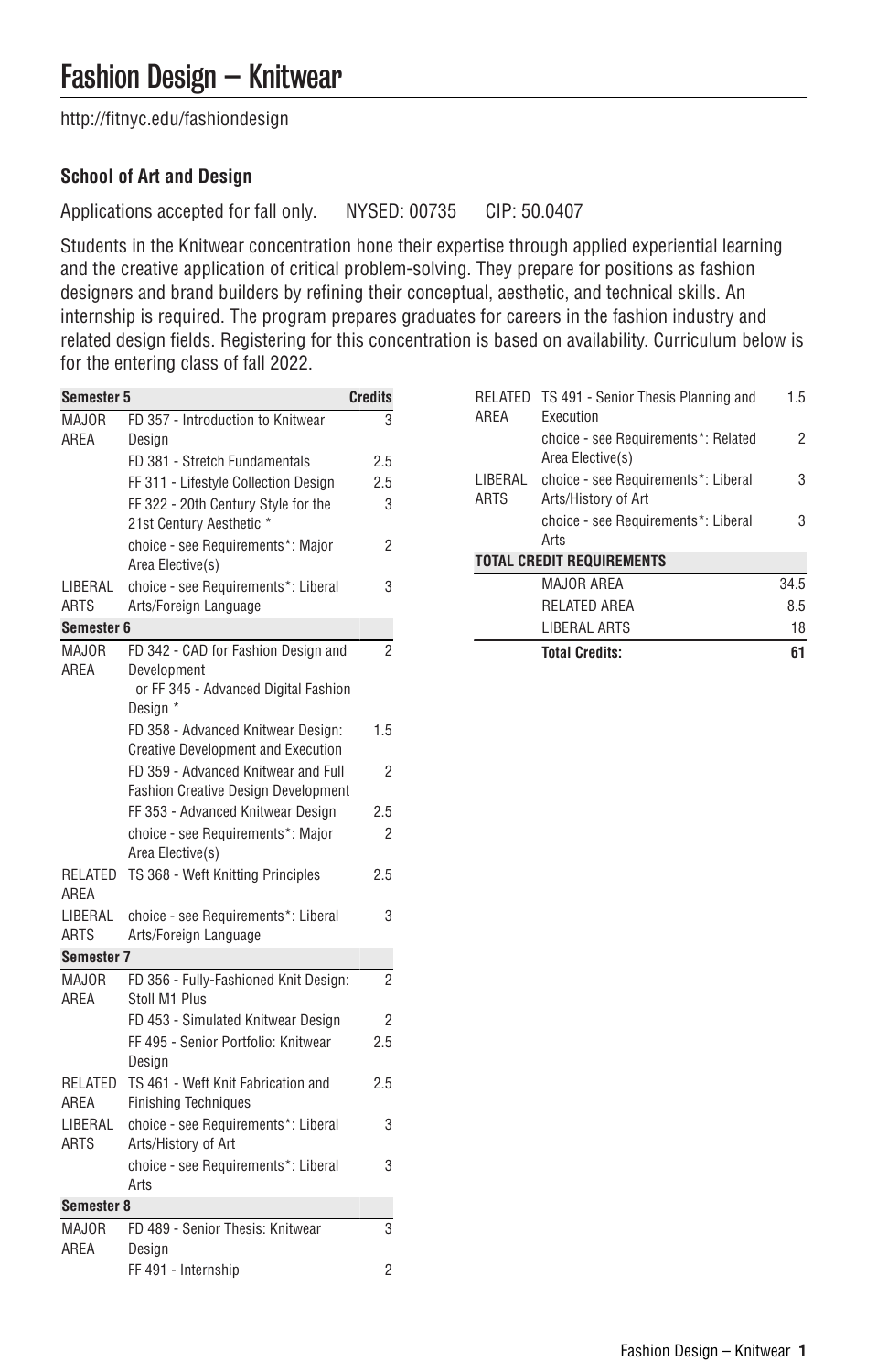[http://fitnyc.edu/fashiondesign](http://fitnyc.edu/fashiondesign/)

# **School of Art and Design**

Applications accepted for fall only. NYSED: 00735 CIP: 50.0407

Students in the Knitwear concentration hone their expertise through applied experiential learning and the creative application of critical problem-solving. They prepare for positions as fashion designers and brand builders by refining their conceptual, aesthetic, and technical skills. An internship is required. The program prepares graduates for careers in the fashion industry and related design fields. Registering for this concentration is based on availability. Curriculum below is for the entering class of fall 2022.

| <b>Semester 5</b>    |                                                  | <b>Credits</b> |  |
|----------------------|--------------------------------------------------|----------------|--|
| MAJOR                | FD 357 - Introduction to Knitwear                | 3              |  |
| AREA                 | Design                                           |                |  |
|                      | FD 381 - Stretch Fundamentals                    | 2.5            |  |
|                      | FF 311 - Lifestyle Collection Design             | 2.5            |  |
|                      | FF 322 - 20th Century Style for the              | 3              |  |
|                      | 21st Century Aesthetic *                         |                |  |
|                      | choice - see Requirements*: Major                | 2              |  |
|                      | Area Elective(s)                                 |                |  |
| LIBERAL              | choice - see Requirements*: Liberal              | 3              |  |
| <b>ARTS</b>          | Arts/Foreign Language                            |                |  |
| Semester 6           |                                                  |                |  |
| MAJOR                | FD 342 - CAD for Fashion Design and              | $\overline{2}$ |  |
| AREA                 | Development                                      |                |  |
|                      | or FF 345 - Advanced Digital Fashion<br>Design * |                |  |
|                      | FD 358 - Advanced Knitwear Design:               | 1.5            |  |
|                      | <b>Creative Development and Execution</b>        |                |  |
|                      | FD 359 - Advanced Knitwear and Full              | 2              |  |
|                      | <b>Fashion Creative Design Development</b>       |                |  |
|                      | FF 353 - Advanced Knitwear Design                | 2.5            |  |
|                      | choice - see Requirements*: Major                | 2              |  |
|                      | Area Elective(s)                                 |                |  |
| RELATED              | TS 368 - Weft Knitting Principles                | 2.5            |  |
| AREA                 |                                                  |                |  |
| LIBERAL              | choice - see Requirements*: Liberal              | 3              |  |
| <b>ARTS</b>          | Arts/Foreign Language                            |                |  |
| <b>Semester 7</b>    |                                                  |                |  |
| <b>MAJOR</b>         | FD 356 - Fully-Fashioned Knit Design:            | $\overline{2}$ |  |
| AREA                 | Stoll M1 Plus                                    |                |  |
|                      | FD 453 - Simulated Knitwear Design               | $\overline{2}$ |  |
|                      | FF 495 - Senior Portfolio: Knitwear              | 2.5            |  |
|                      | Design                                           |                |  |
| RELATED              | TS 461 - Weft Knit Fabrication and               | 2.5            |  |
| AREA                 | <b>Finishing Techniques</b>                      |                |  |
| LIBERAL              | choice - see Requirements*: Liberal              | 3              |  |
| <b>ARTS</b>          | Arts/History of Art                              |                |  |
|                      | choice - see Requirements*: Liberal              | 3              |  |
|                      | Arts                                             |                |  |
| Semester 8           |                                                  |                |  |
| <b>MAJOR</b><br>AREA | FD 489 - Senior Thesis: Knitwear                 | 3              |  |
|                      | Design                                           | $\overline{2}$ |  |
|                      | FF 491 - Internship                              |                |  |

| ARFA                             | RELATED TS 491 - Senior Thesis Planning and<br>Execution   | 1.5  |  |
|----------------------------------|------------------------------------------------------------|------|--|
|                                  | choice - see Requirements*: Related<br>Area Elective(s)    | 2    |  |
| LIBERAL<br><b>ARTS</b>           | choice - see Requirements*: Liberal<br>Arts/History of Art | 3    |  |
|                                  | choice - see Requirements*: Liberal<br>Arts                | 3    |  |
| <b>TOTAL CREDIT REQUIREMENTS</b> |                                                            |      |  |
|                                  | MAJOR AREA                                                 | 34.5 |  |
|                                  | RELATED AREA                                               | 85   |  |
|                                  | LIBERAL ARTS                                               | 18   |  |
|                                  | <b>Total Credits:</b>                                      | 61   |  |